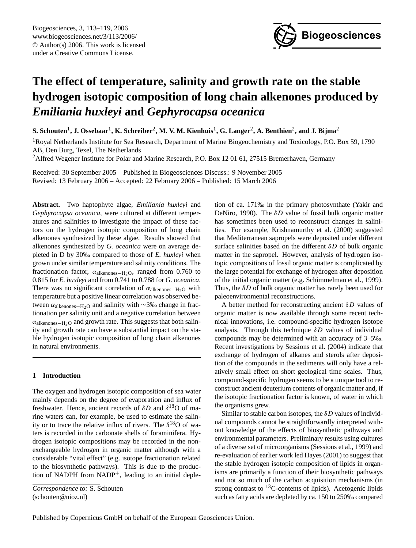

# **The effect of temperature, salinity and growth rate on the stable hydrogen isotopic composition of long chain alkenones produced by** *Emiliania huxleyi* **and** *Gephyrocapsa oceanica*

 ${\bf S.~Schouten}^1, {\bf J.~Ossebaar}^1, {\bf K.~Schreiber}^2, {\bf M.~V.~M.~Kienhuis}^1, {\bf G.~Langer}^2, {\bf A.~Benthien}^2, {\bf and~J.~Bijma}^2$ 

<sup>1</sup>Royal Netherlands Institute for Sea Research, Department of Marine Biogeochemistry and Toxicology, P.O. Box 59, 1790 AB, Den Burg, Texel, The Netherlands

<sup>2</sup> Alfred Wegener Institute for Polar and Marine Research, P.O. Box 12 01 61, 27515 Bremerhaven, Germany

Received: 30 September 2005 – Published in Biogeosciences Discuss.: 9 November 2005 Revised: 13 February 2006 – Accepted: 22 February 2006 – Published: 15 March 2006

**Abstract.** Two haptophyte algae, *Emiliania huxleyi* and *Gephyrocapsa oceanica*, were cultured at different temperatures and salinities to investigate the impact of these factors on the hydrogen isotopic composition of long chain alkenones synthesized by these algae. Results showed that alkenones synthesized by *G. oceanica* were on average depleted in D by 30‰ compared to those of *E. huxleyi* when grown under similar temperature and salinity conditions. The fractionation factor,  $\alpha_{alkenones-H_2O}$ , ranged from 0.760 to 0.815 for *E. huxleyi* and from 0.741 to 0.788 for *G. oceanica*. There was no significant correlation of  $\alpha_{\text{alkenones}-\text{H}_2\text{O}}$  with temperature but a positive linear correlation was observed between  $\alpha$ <sub>alkenones</sub>–H<sub>2</sub>O and salinity with ∼3‰ change in fractionation per salinity unit and a negative correlation between  $\alpha$ <sub>alkenones</sub>−H<sub>2</sub>O and growth rate. This suggests that both salinity and growth rate can have a substantial impact on the stable hydrogen isotopic composition of long chain alkenones in natural environments.

# **1 Introduction**

The oxygen and hydrogen isotopic composition of sea water mainly depends on the degree of evaporation and influx of freshwater. Hence, ancient records of  $\delta D$  and  $\delta^{18}O$  of marine waters can, for example, be used to estimate the salinity or to trace the relative influx of rivers. The  $\delta^{18}O$  of waters is recorded in the carbonate shells of foraminifera. Hydrogen isotopic compositions may be recorded in the nonexchangeable hydrogen in organic matter although with a considerable "vital effect" (e.g. isotope fractionation related to the biosynthetic pathways). This is due to the production of NADPH from NADP+, leading to an initial deple-

<span id="page-0-0"></span>*Correspondence to:* S. Schouten (schouten@nioz.nl)

tion of ca. 171‰ in the primary photosynthate (Yakir and DeNiro, 1990). The  $\delta D$  value of fossil bulk organic matter has sometimes been used to reconstruct changes in salinities. For example, Krishnamurthy et al. (2000) suggested that Mediterranean sapropels were deposited under different surface salinities based on the different  $\delta D$  of bulk organic matter in the sapropel. However, analysis of hydrogen isotopic compositions of fossil organic matter is complicated by the large potential for exchange of hydrogen after deposition of the initial organic matter (e.g. Schimmelman et al., 1999). Thus, the  $\delta D$  of bulk organic matter has rarely been used for paleoenvironmental reconstructions.

A better method for reconstructing ancient  $\delta D$  values of organic matter is now available through some recent technical innovations, i.e. compound-specific hydrogen isotope analysis. Through this technique  $\delta D$  values of individual compounds may be determined with an accuracy of 3–5‰. Recent investigations by Sessions et al. (2004) indicate that exchange of hydrogen of alkanes and sterols after deposition of the compounds in the sediments will only have a relatively small effect on short geological time scales. Thus, compound-specific hydrogen seems to be a unique tool to reconstruct ancient deuterium contents of organic matter and, if the isotopic fractionation factor is known, of water in which the organisms grew.

Similar to stable carbon isotopes, the  $\delta D$  values of individual compounds cannot be straightforwardly interpreted without knowledge of the effects of biosynthetic pathways and environmental parameters. Preliminary results using cultures of a diverse set of microorganisms (Sessions et al., 1999) and re-evaluation of earlier work led Hayes (2001) to suggest that the stable hydrogen isotopic composition of lipids in organisms are primarily a function of their biosynthetic pathways and not so much of the carbon acquisition mechanisms (in strong contrast to  $^{13}$ C-contents of lipids). Acetogenic lipids such as fatty acids are depleted by ca. 150 to 250‰ compared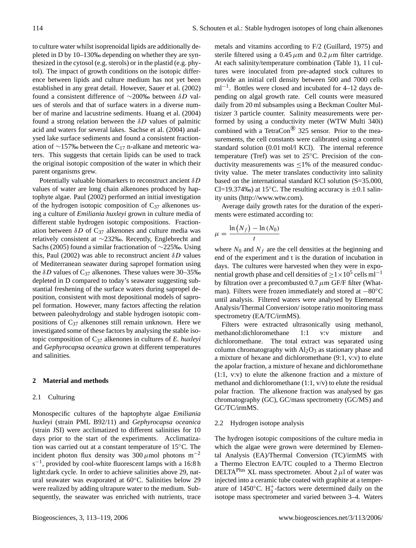to culture water whilst isoprenoidal lipids are additionally depleted in D by 10–130‰ depending on whether they are synthesized in the cytosol (e.g. sterols) or in the plastid (e.g. phytol). The impact of growth conditions on the isotopic difference between lipids and culture medium has not yet been established in any great detail. However, Sauer et al. (2002) found a consistent difference of ∼200‰ between  $\delta D$  values of sterols and that of surface waters in a diverse number of marine and lacustrine sediments. Huang et al. (2004) found a strong relation between the  $\delta D$  values of palmitic acid and waters for several lakes. Sachse et al. (2004) analysed lake surface sediments and found a consistent fractionation of ∼157‰ between the C<sub>17</sub> n-alkane and meteoric waters. This suggests that certain lipids can be used to track the original isotopic composition of the water in which their parent organisms grew.

Potentially valuable biomarkers to reconstruct ancient  $\delta D$ values of water are long chain alkenones produced by haptophyte algae. Paul (2002) performed an initial investigation of the hydrogen isotopic composition of  $C_{37}$  alkenones using a culture of *Emiliania huxleyi* grown in culture media of different stable hydrogen isotopic compositions. Fractionation between  $\delta D$  of C<sub>37</sub> alkenones and culture media was relatively consistent at ∼232‰. Recently, Englebrecht and Sachs (2005) found a similar fractionation of ∼225‰. Using this, Paul (2002) was able to reconstruct ancient  $\delta D$  values of Mediterranean seawater during sapropel formation using the  $\delta D$  values of C<sub>37</sub> alkenones. These values were 30–35‰ depleted in D compared to today's seawater suggesting substantial freshening of the surface waters during sapropel deposition, consistent with most depositional models of sapropel formation. However, many factors affecting the relation between paleohydrology and stable hydrogen isotopic compositions of  $C_{37}$  alkenones still remain unknown. Here we investigated some of these factors by analysing the stable isotopic composition of C<sup>37</sup> alkenones in cultures of *E. huxleyi* and *Gephyrocapsa oceanica* grown at different temperatures and salinities.

### **2 Material and methods**

#### 2.1 Culturing

Monospecific cultures of the haptophyte algae *Emiliania huxleyi* (strain PML B92/11) and *Gephyrocapsa oceanica* (strain JSI) were acclimatized to different salinities for 10 days prior to the start of the experiments. Acclimatization was carried out at a constant temperature of 15◦C. The incident photon flux density was 300  $\mu$ mol photons m<sup>-2</sup> s<sup>-1</sup>, provided by cool-white fluorescent lamps with a 16:8 h light:dark cycle. In order to achieve salinities above 29, natural seawater was evaporated at 60◦C. Salinities below 29 were realized by adding ultrapure water to the medium. Subsequently, the seawater was enriched with nutrients, trace metals and vitamins according to F/2 (Guillard, 1975) and sterile filtered using a 0.45  $\mu$ m and 0.2  $\mu$ m filter cartridge. At each salinity/temperature combination (Table 1), 11 cultures were inoculated from pre-adapted stock cultures to provide an initial cell density between 500 and 7000 cells ml<sup>-1</sup>. Bottles were closed and incubated for 4–12 days depending on algal growth rate. Cell counts were measured daily from 20 ml subsamples using a Beckman Coulter Multisizer 3 particle counter. Salinity measurements were performed by using a conductivity meter (WTW Multi 340i) combined with a TetraCon<sup>®</sup> 325 sensor. Prior to the measurements, the cell constants were calibrated using a control standard solution (0.01 mol/l KCl). The internal reference temperature (Tref) was set to 25◦C. Precision of the conductivity measurements was  $\leq$ 1% of the measured conductivity value. The meter translates conductivity into salinity based on the international standard KCl solution (S=35.000, Cl=19.374‰) at 15 $\degree$ C. The resulting accuracy is  $\pm 0.1$  salinity units [\(http://www.wtw.com\)](http://www.wtw.com).

Average daily growth rates for the duration of the experiments were estimated according to:

$$
\mu = \frac{\ln(N_f) - \ln(N_0)}{t}
$$

where  $N_0$  and  $N_f$  are the cell densities at the beginning and end of the experiment and t is the duration of incubation in days. The cultures were harvested when they were in exponential growth phase and cell densities of  $\geq$  1×10<sup>5</sup> cells ml<sup>-1</sup> by filtration over a precombusted  $0.7 \mu$ m GF/F filter (Whatman). Filters were frozen immediately and stored at −80◦C until analysis. Filtered waters were analysed by Elemental Analysis/Thermal Conversion/ isotope ratio monitoring mass spectrometry (EA/TC/irmMS).

Filters were extracted ultrasonically using methanol, methanol:dichloromethane 1:1 v:v mixture and dichloromethane. The total extract was separated using column chromatography with  $Al_2O_3$  as stationary phase and a mixture of hexane and dichloromethane (9:1, v:v) to elute the apolar fraction, a mixture of hexane and dichloromethane (1:1, v:v) to elute the alkenone fraction and a mixture of methanol and dichloromethane (1:1, v/v) to elute the residual polar fraction. The alkenone fraction was analysed by gas chromatography (GC), GC/mass spectrometry (GC/MS) and GC/TC/irmMS.

#### 2.2 Hydrogen isotope analysis

The hydrogen isotopic compositions of the culture media in which the algae were grown were determined by Elemental Analysis (EA)/Thermal Conversion (TC)/irmMS with a Thermo Electron EA/TC coupled to a Thermo Electron DELTA<sup>Plus</sup> XL mass spectrometer. About  $2 \mu l$  of water was injected into a ceramic tube coated with graphite at a temperature of 1450 $^{\circ}$ C. H<sub>3</sub><sup>-</sup>factors were determined daily on the isotope mass spectrometer and varied between 3–4. Waters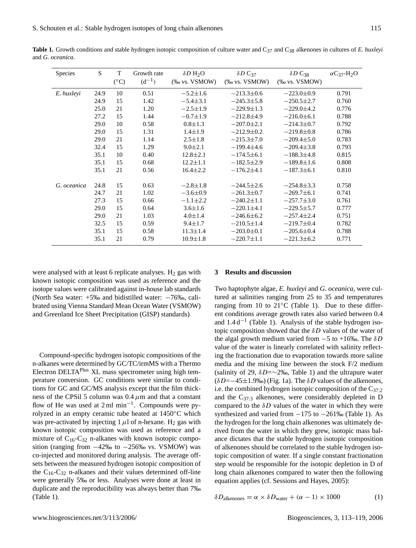| Species     | S    | T<br>$(^{\circ}C)$ | Growth rate<br>$(d^{-1})$ | $\delta D$ H <sub>2</sub> O<br>$(\%$ vs. VSMOW) | $\delta D \, C_{37}$<br>$(\%$ vs. VSMOW) | $\delta D \, \mathrm{C}_{38}$<br>$(\%$ vs. VSMOW) | $\alpha$ C <sub>37</sub> -H <sub>2</sub> O |
|-------------|------|--------------------|---------------------------|-------------------------------------------------|------------------------------------------|---------------------------------------------------|--------------------------------------------|
| E. huxleyi  | 24.9 | 10                 | 0.51                      | $-5.2 \pm 1.6$                                  | $-213.3 \pm 0.6$                         | $-223.0 \pm 0.9$                                  | 0.791                                      |
|             | 24.9 | 15                 | 1.42                      | $-5.4 \pm 3.1$                                  | $-245.3 \pm 5.8$                         | $-250.5 \pm 2.7$                                  | 0.760                                      |
|             | 25.0 | 21                 | 1.20                      | $-2.5 \pm 1.9$                                  | $-229.9 \pm 1.3$                         | $-229.0 \pm 4.2$                                  | 0.776                                      |
|             | 27.2 | 15                 | 1.44                      | $-0.7 \pm 1.9$                                  | $-212.8\pm4.9$                           | $-216.0\pm 6.1$                                   | 0.788                                      |
|             | 29.0 | 10                 | 0.58                      | $0.8 \pm 1.3$                                   | $-207.0 \pm 2.1$                         | $-214.3 \pm 0.7$                                  | 0.792                                      |
|             | 29.0 | 15                 | 1.31                      | $1.4 \pm 1.9$                                   | $-212.9 \pm 0.2$                         | $-219.8 \pm 0.8$                                  | 0.786                                      |
|             | 29.0 | 21                 | 1.14                      | $2.5 \pm 1.8$                                   | $-215.3 \pm 7.0$                         | $-209.4\pm5.0$                                    | 0.783                                      |
|             | 32.4 | 15                 | 1.29                      | $9.0 \pm 2.1$                                   | $-199.4 \pm 4.6$                         | $-209.4 \pm 3.8$                                  | 0.793                                      |
|             | 35.1 | 10                 | 0.40                      | $12.8 \pm 2.1$                                  | $-174.5\pm 6.1$                          | $-188.3\pm4.8$                                    | 0.815                                      |
|             | 35.1 | 15                 | 0.68                      | $12.2 \pm 1.1$                                  | $-182.5 \pm 2.9$                         | $-189.8 \pm 1.6$                                  | 0.808                                      |
|             | 35.1 | 21                 | 0.56                      | $16.4 \pm 2.2$                                  | $-176.2 \pm 4.1$                         | $-187.3\pm 6.1$                                   | 0.810                                      |
| G. oceanica | 24.8 | 15                 | 0.63                      | $-2.8 \pm 1.8$                                  | $-244.5 \pm 2.6$                         | $-254.8\pm3.3$                                    | 0.758                                      |
|             | 24.7 | 21                 | 1.02                      | $-3.6 \pm 0.9$                                  | $-261.3 \pm 0.7$                         | $-269.7\pm 6.1$                                   | 0.741                                      |
|             | 27.3 | 15                 | 0.66                      | $-1.1 \pm 2.2$                                  | $-240.2 \pm 1.1$                         | $-257.7 \pm 3.0$                                  | 0.761                                      |
|             | 29.0 | 15                 | 0.64                      | $3.6 \pm 1.6$                                   | $-220.1 \pm 4.1$                         | $-229.5 \pm 5.7$                                  | 0.777                                      |
|             | 29.0 | 21                 | 1.03                      | $4.0 \pm 1.4$                                   | $-246.6\pm 6.2$                          | $-257.4 \pm 2.4$                                  | 0.751                                      |
|             | 32.5 | 15                 | 0.59                      | $9.4 \pm 1.7$                                   | $-210.5 \pm 1.4$                         | $-219.7 \pm 0.4$                                  | 0.782                                      |
|             | 35.1 | 15                 | 0.58                      | $11.3 \pm 1.4$                                  | $-203.0 \pm 0.1$                         | $-205.6 \pm 0.4$                                  | 0.788                                      |
|             | 35.1 | 21                 | 0.79                      | $10.9 \pm 1.8$                                  | $-220.7 \pm 1.1$                         | $-221.3 \pm 6.2$                                  | 0.771                                      |

**Table 1.** Growth conditions and stable hydrogen isotopic composition of culture water and C<sub>37</sub> and C<sub>38</sub> alkenones in cultures of *E. huxleyi* and *G. oceanica*.

were analysed with at least 6 replicate analyses.  $H_2$  gas with known isotopic composition was used as reference and the isotope values were calibrated against in-house lab standards (North Sea water: +5‰ and bidistilled water: −76‰, calibrated using Vienna Standard Mean Ocean Water (VSMOW) and Greenland Ice Sheet Precipitation (GISP) standards)

Compound-specific hydrogen isotopic compositions of the n-alkanes were determined by GC/TC/irmMS with a Thermo Electron DELTA<sup>Plus</sup> XL mass spectrometer using high temperature conversion. GC conditions were similar to conditions for GC and GC/MS analysis except that the film thickness of the CPSil 5 column was  $0.4 \mu$ m and that a constant flow of He was used at 2 ml min−<sup>1</sup> . Compounds were pyrolyzed in an empty ceramic tube heated at 1450◦C which was pre-activated by injecting 1  $\mu$ l of n-hexane. H<sub>2</sub> gas with known isotopic composition was used as reference and a mixture of  $C_{16}$ -C<sub>32</sub> n-alkanes with known isotopic composition (ranging from  $-42\%$  to  $-256\%$  vs. VSMOW) was co-injected and monitored during analysis. The average offsets between the measured hydrogen isotopic composition of the  $C_{16}$ -C<sub>32</sub> n-alkanes and their values determined off-line were generally 5‰ or less. Analyses were done at least in duplicate and the reproducibility was always better than 7‰ (Table 1).

# **3 Results and discussion**

Two haptophyte algae, *E. huxleyi* and *G. oceanica*, were cultured at salinities ranging from 25 to 35 and temperatures ranging from 10 to 21◦C (Table 1). Due to these different conditions average growth rates also varied between 0.4 and  $1.4 d^{-1}$  (Table 1). Analysis of the stable hydrogen isotopic composition showed that the  $\delta D$  values of the water of the algal growth medium varied from  $-5$  to +16‰. The  $\delta D$ value of the water is linearly correlated with salinity reflecting the fractionation due to evaporation towards more saline media and the mixing line between the stock F/2 medium (salinity of 29,  $\delta D = \sim 2\%$ , Table 1) and the ultrapure water  $(\delta D=-45\pm1.9\%)$  (Fig. 1a). The  $\delta D$  values of the alkenones, i.e. the combined hydrogen isotopic composition of the  $C_{37:2}$ and the  $C_{37:3}$  alkenones, were considerably depleted in D compared to the  $\delta D$  values of the water in which they were synthesized and varied from  $-175$  to  $-261\%$  (Table 1). As the hydrogen for the long chain alkenones was ultimately derived from the water in which they grew, isotopic mass balance dictates that the stable hydrogen isotopic composition of alkenones should be correlated to the stable hydrogen isotopic composition of water. If a single constant fractionation step would be responsible for the isotopic depletion in D of long chain alkenones compared to water then the following equation applies (cf. Sessions and Hayes, 2005):

 $\delta D_{\text{alkenones}} = \alpha \times \delta D_{\text{water}} + (\alpha - 1) \times 1000$  (1)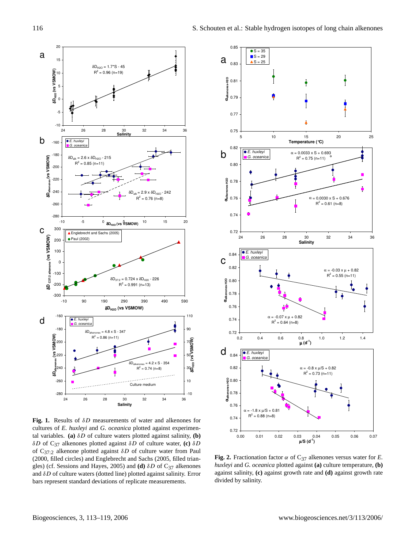

**Fig. 1.** Results of δD measurements of water and alkenones for cultures of *E. huxleyi* and *G. oceanica* plotted against experimental variables. **(a)** δD of culture waters plotted against salinity, **(b)** δD of C37 alkenones plotted against δD of culture water, **(c)** δD of C<sub>37:2</sub> alkenone plotted against  $\delta D$  of culture water from Paul (2000, filled circles) and Englebrecht and Sachs (2005, filled triangles) (cf. Sessions and Hayes, 2005) and **(d)**  $\delta D$  of C<sub>37</sub> alkenones and  $\delta D$  of culture waters (dotted line) plotted against salinity. Error bars represent standard deviations of replicate measurements.



**Fig. 2.** Fractionation factor  $\alpha$  of C<sub>37</sub> alkenones versus water for *E*. *huxleyi* and *G. oceanica* plotted against **(a)** culture temperature, **(b)** against salinity, **(c)** against growth rate and **(d)** against growth rate divided by salinity.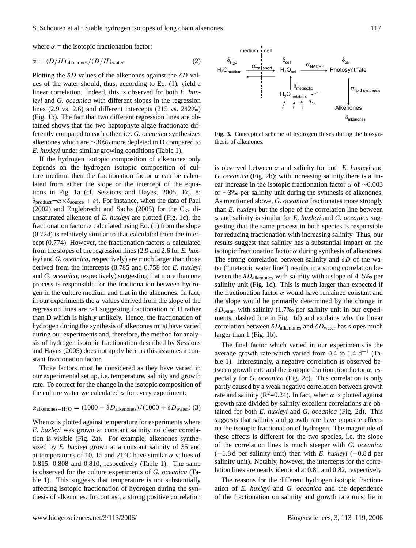where  $\alpha$  = the isotopic fractionation factor:

$$
\alpha = (D/H)_{\text{alkenones}} / (D/H)_{\text{water}} \tag{2}
$$

Plotting the  $\delta D$  values of the alkenones against the  $\delta D$  values of the water should, thus, according to Eq. (1), yield a linear correlation. Indeed, this is observed for both *E. huxleyi* and *G. oceanica* with different slopes in the regression lines (2.9 vs. 2.6) and different intercepts (215 vs. 242‰) (Fig. 1b). The fact that two different regression lines are obtained shows that the two haptophyte algae fractionate differently compared to each other, i.e. *G. oceanica* synthesizes alkenones which are ∼30‰ more depleted in D compared to *E. huxleyi* under similar growing conditions (Table 1).

If the hydrogen isotopic composition of alkenones only depends on the hydrogen isotopic composition of culture medium then the fractionation factor  $\alpha$  can be calculated from either the slope or the intercept of the equations in Fig. 1a (cf. Sessions and Hayes, 2005, Eq. 8:  $\delta_{product} = \alpha \times \delta_{source} + \varepsilon$ . For instance, when the data of Paul (2002) and Englebrecht and Sachs (2005) for the  $C_{37}$  diunsaturated alkenone of *E. huxleyi* are plotted (Fig. 1c), the fractionation factor  $\alpha$  calculated using Eq. (1) from the slope (0.724) is relatively similar to that calculated from the intercept (0.774). However, the fractionation factors  $\alpha$  calculated from the slopes of the regression lines (2.9 and 2.6 for *E. huxleyi* and *G. oceanica*, respectively) are much larger than those derived from the intercepts (0.785 and 0.758 for *E. huxleyi* and *G. oceanica*, respectively) suggesting that more than one process is responsible for the fractionation between hydrogen in the culture medium and that in the alkenones. In fact, in our experiments the  $\alpha$  values derived from the slope of the regression lines are >1 suggesting fractionation of H rather than D which is highly unlikely. Hence, the fractionation of hydrogen during the synthesis of alkenones must have varied during our experiments and, therefore, the method for analysis of hydrogen isotopic fractionation described by Sessions and Hayes (2005) does not apply here as this assumes a constant fractionation factor.

Three factors must be considered as they have varied in our experimental set up, i.e. temperature, salinity and growth rate. To correct for the change in the isotopic composition of the culture water we calculated  $\alpha$  for every experiment:

$$
\alpha_{alkenones-H_2O} = (1000 + \delta D_{alkenones})/(1000 + \delta D_{water})
$$
 (3)

When  $\alpha$  is plotted against temperature for experiments where *E. huxleyi* was grown at constant salinity no clear correlation is visible (Fig. 2a). For example, alkenones synthesized by *E. huxleyi* grown at a constant salinity of 35 and at temperatures of 10, 15 and 21<sup>°</sup>C have similar  $\alpha$  values of 0.815, 0.808 and 0.810, respectively (Table 1). The same is observed for the culture experiments of *G. oceanica* (Table 1). This suggests that temperature is not substantially affecting isotopic fractionation of hydrogen during the synthesis of alkenones. In contrast, a strong positive correlation



**Fig. 3.** Conceptual scheme of hydrogen fluxes during the biosynthesis of alkenones.

is observed between  $\alpha$  and salinity for both *E. huxleyi* and *G. oceanica* (Fig. 2b); with increasing salinity there is a linear increase in the isotopic fractionation factor  $\alpha$  of ~0.003 or ∼3‰ per salinity unit during the synthesis of alkenones. As mentioned above, *G. oceanica* fractionates more strongly than *E. huxleyi* but the slope of the correlation line between α and salinity is similar for *E. huxleyi* and *G. oceanica* suggesting that the same process in both species is responsible for reducing fractionation with increasing salinity. Thus, our results suggest that salinity has a substantial impact on the isotopic fractionation factor  $\alpha$  during synthesis of alkenones. The strong correlation between salinity and  $\delta D$  of the water ("meteoric water line") results in a strong correlation between the  $\delta D_{\text{alkenones}}$  with salinity with a slope of 4–5‰ per salinity unit (Fig. 1d). This is much larger than expected if the fractionation factor  $\alpha$  would have remained constant and the slope would be primarily determined by the change in  $\delta D_{\text{water}}$  with salinity (1.7‰ per salinity unit in our experiments; dashed line in Fig. 1d) and explains why the linear correlation between  $\delta D_{\text{alkenones}}$  and  $\delta D_{\text{water}}$  has slopes much larger than 1 (Fig. 1b).

The final factor which varied in our experiments is the average growth rate which varied from 0.4 to 1.4 d−<sup>1</sup> (Table 1). Interestingly, a negative correlation is observed between growth rate and the isotopic fractionation factor  $\alpha$ , especially for *G. oceanica* (Fig. 2c). This correlation is only partly caused by a weak negative correlation between growth rate and salinity ( $R^2$ =0.24). In fact, when  $\alpha$  is plotted against growth rate divided by salinity excellent correlations are obtained for both *E. huxleyi* and *G. oceanica* (Fig. 2d). This suggests that salinity and growth rate have opposite effects on the isotopic fractionation of hydrogen. The magnitude of these effects is different for the two species, i.e. the slope of the correlation lines is much steeper with *G. oceanica* (−1.8 d per salinity unit) then with *E. huxleyi* (−0.8 d per salinity unit). Notably, however, the intercepts for the correlation lines are nearly identical at 0.81 and 0.82, respectively.

The reasons for the different hydrogen isotopic fractionation of *E. huxleyi* and *G. oceanica* and the dependence of the fractionation on salinity and growth rate must lie in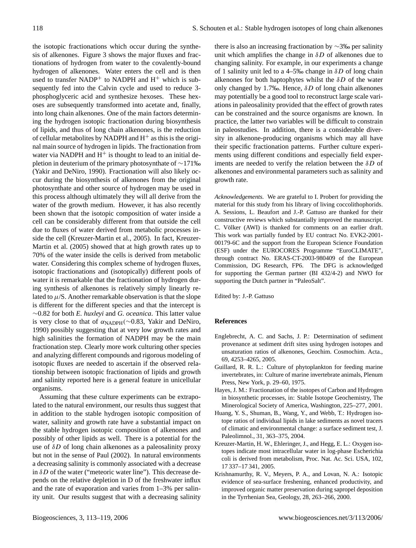the isotopic fractionations which occur during the synthesis of alkenones. Figure 3 shows the major fluxes and fractionations of hydrogen from water to the covalently-bound hydrogen of alkenones. Water enters the cell and is then used to transfer NADP<sup>+</sup> to NADPH and  $H^+$  which is subsequently fed into the Calvin cycle and used to reduce 3 phosphoglyceric acid and synthesize hexoses. These hexoses are subsequently transformed into acetate and, finally, into long chain alkenones. One of the main factors determining the hydrogen isotopic fractionation during biosynthesis of lipids, and thus of long chain alkenones, is the reduction of cellular metabolites by NADPH and  $H^+$  as this is the original main source of hydrogen in lipids. The fractionation from water via NADPH and  $H^+$  is thought to lead to an initial depletion in deuterium of the primary photosynthate of ∼171‰ (Yakir and DeNiro, 1990). Fractionation will also likely occur during the biosynthesis of alkenones from the original photosynthate and other source of hydrogen may be used in this process although ultimately they will all derive from the water of the growth medium. However, it has also recently been shown that the isotopic composition of water inside a cell can be considerably different from that outside the cell due to fluxes of water derived from metabolic processes inside the cell (Kreuzer-Martin et al., 2005). In fact, Kreuzer-Martin et al. (2005) showed that at high growth rates up to 70% of the water inside the cells is derived from metabolic water. Considering this complex scheme of hydrogen fluxes, isotopic fractionations and (isotopically) different pools of water it is remarkable that the fractionation of hydrogen during synthesis of alkenones is relatively simply linearly related to  $\mu$ /S. Another remarkable observation is that the slope is different for the different species and that the intercept is ∼0.82 for both *E. huxleyi* and *G. oceanica*. This latter value is very close to that of  $\alpha_{\text{NADPH}}(\sim 0.83, \text{ Yakir and DeNiro},$ 1990) possibly suggesting that at very low growth rates and high salinities the formation of NADPH may be the main fractionation step. Clearly more work culturing other species and analyzing different compounds and rigorous modeling of isotopic fluxes are needed to ascertain if the observed relationship between isotopic fractionation of lipids and growth and salinity reported here is a general feature in unicellular organisms.

Assuming that these culture experiments can be extrapolated to the natural environment, our results thus suggest that in addition to the stable hydrogen isotopic composition of water, salinity and growth rate have a substantial impact on the stable hydrogen isotopic composition of alkenones and possibly of other lipids as well. There is a potential for the use of  $\delta D$  of long chain alkenones as a paleosalinity proxy but not in the sense of Paul (2002). In natural environments a decreasing salinity is commonly associated with a decrease in  $\delta D$  of the water ("meteoric water line"). This decrease depends on the relative depletion in D of the freshwater influx and the rate of evaporation and varies from 1–3% per salinity unit. Our results suggest that with a decreasing salinity

there is also an increasing fractionation by ∼3‰ per salinity unit which amplifies the change in  $\delta D$  of alkenones due to changing salinity. For example, in our experiments a change of 1 salinity unit led to a 4–5‰ change in  $\delta D$  of long chain alkenones for both haptophytes whilst the  $\delta D$  of the water only changed by 1.7‰. Hence,  $\delta D$  of long chain alkenones may potentially be a good tool to reconstruct large scale variations in paleosalinity provided that the effect of growth rates can be constrained and the source organisms are known. In practice, the latter two variables will be difficult to constrain in paleostudies. In addition, there is a considerable diversity in alkenone-producing organisms which may all have their specific fractionation patterns. Further culture experiments using different conditions and especially field experiments are needed to verify the relation between the  $\delta D$  of alkenones and environmental parameters such as salinity and growth rate.

*Acknowledgements.* We are grateful to I. Probert for providing the material for this study from his library of living coccolithophorids. A. Sessions, L. Beaufort and J.-P. Gattuso are thanked for their constructive reviews which substantially improved the manuscript. C. Völker (AWI) is thanked for comments on an earlier draft. This work was partially funded by EU contract No. EVK2-2001- 00179-6C and the support from the European Science Foundation (ESF) under the EUROCORES Programme "EuroCLIMATE", through contract No. ERAS-CT-2003-980409 of the European Commission, DG Research, FP6. The DFG is acknowledged for supporting the German partner (BI 432/4-2) and NWO for supporting the Dutch partner in "PaleoSalt".

Edited by: J.-P. Gattuso

## **References**

- Englebrecht, A. C. and Sachs, J. P.: Determination of sediment provenance at sediment drift sites using hydrogen isotopes and unsaturation ratios of alkenones, Geochim. Cosmochim. Acta., 69, 4253–4265, 2005.
- Guillard, R. R. L.: Culture of phytoplankton for feeding marine invertebrates, in: Culture of marine invertebrate animals, Plenum Press, New York, p. 29–60, 1975.
- Hayes, J. M.: Fractionation of the isotopes of Carbon and Hydrogen in biosynthetic processes, in: Stable Isotope Geochemistry, The Minerological Society of America, Washington, 225–277, 2001.
- Huang, Y. S., Shuman, B., Wang, Y., and Webb, T.: Hydrogen isotope ratios of individual lipids in lake sediments as novel tracers of climatic and environmental change: a surface sediment test, J. Paleolimnol., 31, 363–375, 2004.
- Kreuzer-Martin, H. W., Ehleringer, J., and Hegg, E. L.: Oxygen isotopes indicate most intracellular water in log-phase Escherichia coli is derived from metabolism, Proc. Nat. Ac. Sci. USA, 102, 17 337–17 341, 2005.
- Krishnamurthy, R. V., Meyers, P. A., and Lovan, N. A.: Isotopic evidence of sea-surface freshening, enhanced productivity, and improved organic matter preservation during sapropel deposition in the Tyrrhenian Sea, Geology, 28, 263–266, 2000.